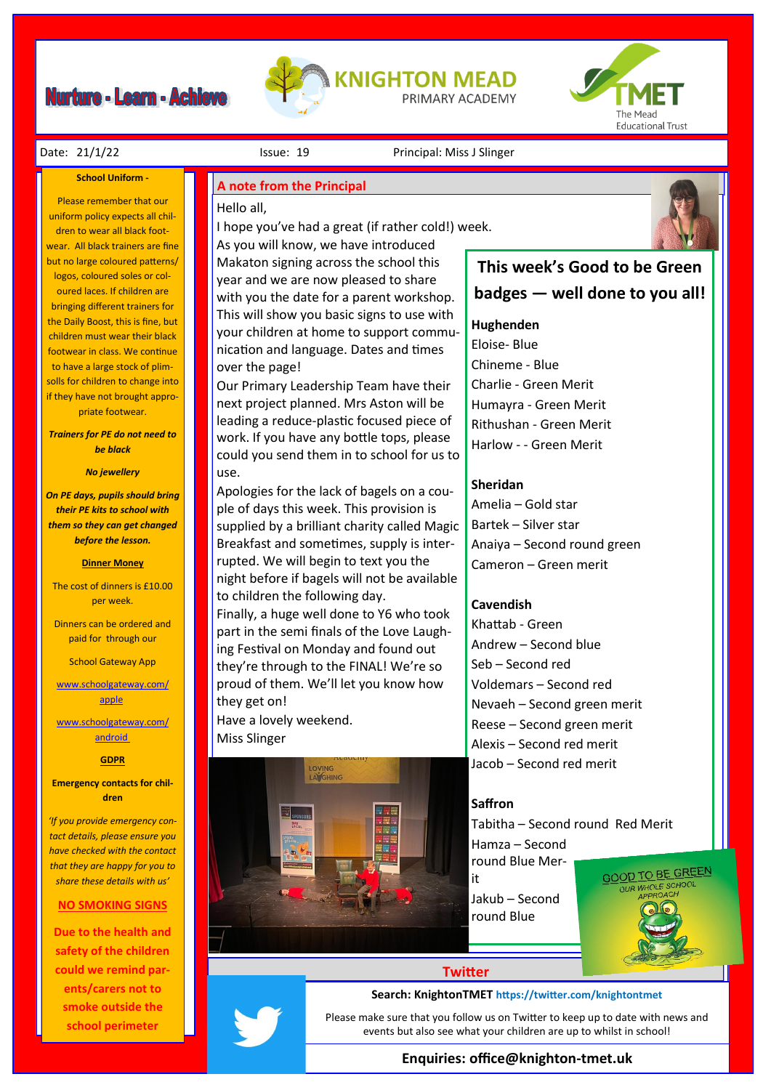# **Nurture - Learn - Achieve**





#### Date: 21/1/22 **Issue: 19** Issue: 19 Principal: Miss J Slinger

#### **School Uniform -**

Please remember that our uniform policy expects all children to wear all black footwear. All black trainers are fine but no large coloured patterns/ logos, coloured soles or coloured laces. If children are bringing different trainers for the Daily Boost, this is fine, but children must wear their black footwear in class. We continue to have a large stock of plimsolls for children to change into if they have not brought appropriate footwear.

*Trainers for PE do not need to be black*

#### *No jewellery*

*On PE days, pupils should bring their PE kits to school with them so they can get changed before the lesson.*

#### **Dinner Money**

The cost of dinners is £10.00 per week.

Dinners can be ordered and paid for through our

School Gateway App

[www.schoolgateway.com/](http://www.schoolgateway.com/apple) [apple](http://www.schoolgateway.com/apple)

[www.schoolgateway.com/](http://www.schoolgateway.com/android) [android](http://www.schoolgateway.com/android)

#### **GDPR**

**Emergency contacts for children**

*'If you provide emergency contact details, please ensure you have checked with the contact that they are happy for you to share these details with us'*

#### **NO SMOKING SIGNS**

**Due to the health and safety of the children could we remind parents/carers not to smoke outside the school perimeter** 

#### **A note from the Principal**

### Hello all,

I hope you've had a great (if rather cold!) week. As you will know, we have introduced

Makaton signing across the school this year and we are now pleased to share with you the date for a parent workshop. This will show you basic signs to use with your children at home to support communication and language. Dates and times over the page!

Our Primary Leadership Team have their next project planned. Mrs Aston will be leading a reduce-plastic focused piece of work. If you have any bottle tops, please could you send them in to school for us to use.

Apologies for the lack of bagels on a couple of days this week. This provision is supplied by a brilliant charity called Magic Breakfast and sometimes, supply is interrupted. We will begin to text you the night before if bagels will not be available to children the following day. Finally, a huge well done to Y6 who took

part in the semi finals of the Love Laughing Festival on Monday and found out they're through to the FINAL! We're so proud of them. We'll let you know how they get on!

Have a lovely weekend. Miss Slinger





### **This week's Good to be Green badges — well done to you all!**

#### **Hughenden**

Eloise- Blue Chineme - Blue Charlie - Green Merit Humayra - Green Merit Rithushan - Green Merit Harlow - - Green Merit

#### **Sheridan**

Amelia – Gold star Bartek – Silver star Anaiya – Second round green Cameron – Green merit

#### **Cavendish**

Khattab - Green Andrew – Second blue Seb – Second red Voldemars – Second red Nevaeh – Second green merit Reese – Second green merit Alexis – Second red merit Jacob – Second red merit

#### **Saffron**

Tabitha – Second round Red Merit

Hamza – Second round Blue Mer-

it Jakub – Second round Blue



### **Twitter**

#### **Search: KnightonTMET https://twitter.com/knightontmet**

Please make sure that you follow us on Twitter to keep up to date with news and events but also see what your children are up to whilst in school!

#### **Enquiries: office@knighton-tmet.uk**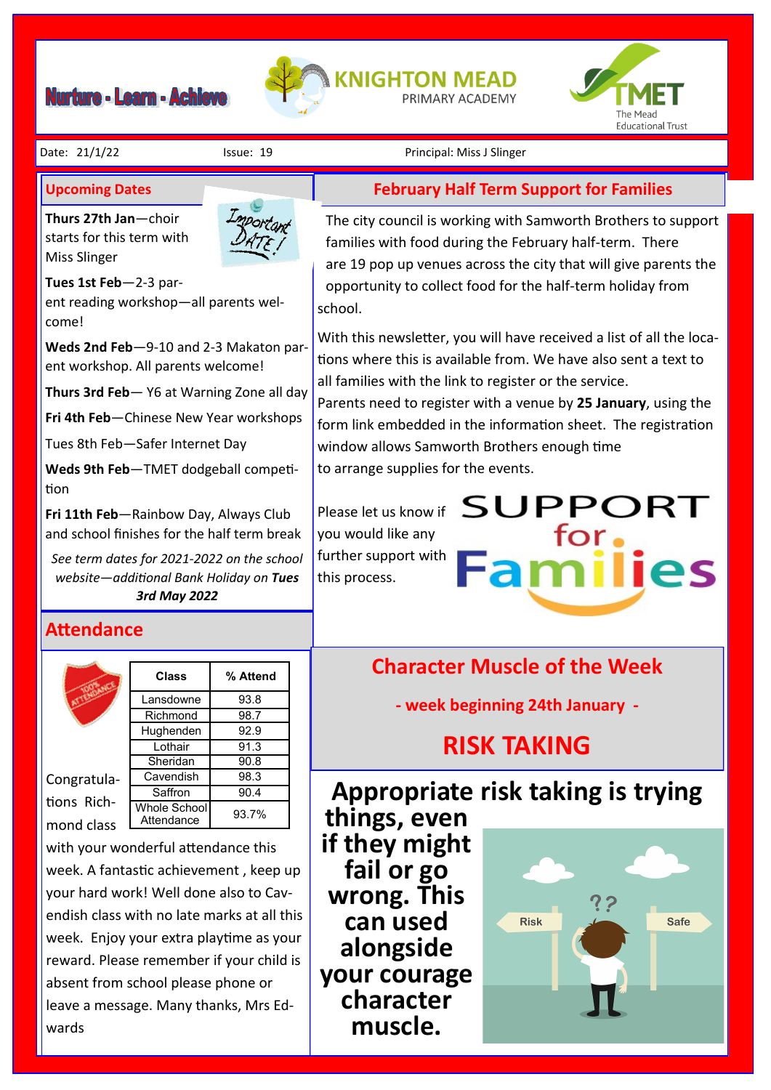# Nurture - Learn - Achieve





#### Date: 21/1/22 Issue: 19 Principal: Miss J Slinger

## **Upcoming Dates**

starts for the starts of  $\frac{1}{2}$ **Thurs 27th Jan**—choir starts for this term with Miss Slinger



The city council is working with Samworth Brothers to support families with food during the February half-term. There are 19 pop up venues across the city that will give parents the opportunity to collect food for the half-term holiday from school.

**February Half Term Support for Families**

With this newsletter, you will have received a list of all the locations where this is available from. We have also sent a text to all families with the link to register or the service.

Parents need to register with a venue by **25 January**, using the form link embedded in the information sheet.  The registration window allows Samworth Brothers enough time to arrange supplies for the events.

**SUPPORT** 

for.

Please let us know if you would like any further support with this process.

**Character Muscle of the Week - week beginning 24th January -**

# **RISK TAKING**

# **Appropriate risk taking is trying**

**things, even if they might fail or go wrong. This can used alongside your courage character muscle.** 



Tues 1st Feb-2-3 parcome! ent reading workshop—all parents wel-

**Weds 2nd Feb**—9-10 and 2-3 Makaton parent workshop. All parents welcome!

**Thurs 3rd Feb**— Y6 at Warning Zone all day

**Fri 4th Feb**—Chinese New Year workshops

Tues 8th Feb—Safer Internet Day

**Weds 9th Feb**—TMET dodgeball competition

**Fri 11th Feb**—Rainbow Day, Always Club and school finishes for the half term break

*See term dates for 2021-2022 on the school website—additional Bank Holiday on Tues 3rd May 2022*

## **Attendance**



Congratulations Richmond class



**Class % Attend**

with your wonderful attendance this week. A fantastic achievement , keep up your hard work! Well done also to Cavendish class with no late marks at all this week. Enjoy your extra playtime as your reward. Please remember if your child is absent from school please phone or leave a message. Many thanks, Mrs Edwards